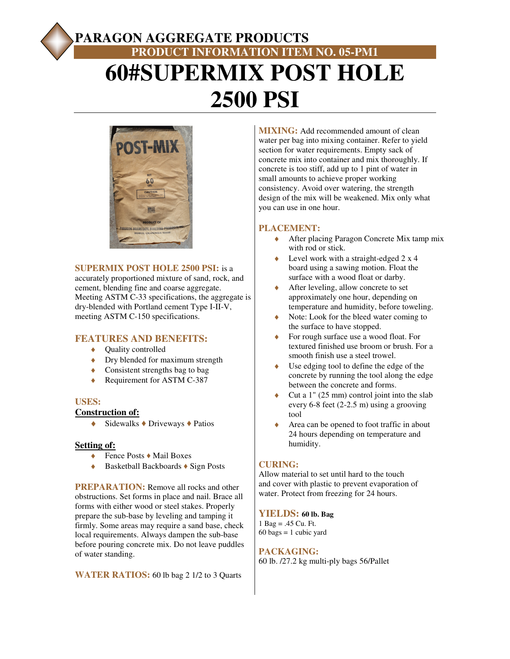# **PARAGON AGGREGATE PRODUCTS PRODUCT INFORMATION ITEM NO. 05-PM1 60#SUPERMIX POST HOLE 2500 PSI**



## **SUPERMIX POST HOLE 2500 PSI:** is a

accurately proportioned mixture of sand, rock, and cement, blending fine and coarse aggregate. Meeting ASTM C-33 specifications, the aggregate is dry-blended with Portland cement Type I-II-V, meeting ASTM C-150 specifications.

# **FEATURES AND BENEFITS:**

- ◆ **Quality controlled**
- Dry blended for maximum strength
- ♦ Consistent strengths bag to bag
- ◆ Requirement for ASTM C-387

## **USES:**

#### **Construction of:**

 $\triangle$  Sidewalks  $\triangle$  Driveways  $\triangle$  Patios

## **Setting of:**

- ♦ Fence Posts ♦ Mail Boxes
- ♦ Basketball Backboards ♦ Sign Posts

**PREPARATION:** Remove all rocks and other obstructions. Set forms in place and nail. Brace all forms with either wood or steel stakes. Properly prepare the sub-base by leveling and tamping it firmly. Some areas may require a sand base, check local requirements. Always dampen the sub-base before pouring concrete mix. Do not leave puddles of water standing.

**WATER RATIOS:** 60 lb bag 2 1/2 to 3 Quarts

**MIXING:** Add recommended amount of clean water per bag into mixing container. Refer to yield section for water requirements. Empty sack of concrete mix into container and mix thoroughly. If concrete is too stiff, add up to 1 pint of water in small amounts to achieve proper working consistency. Avoid over watering, the strength design of the mix will be weakened. Mix only what you can use in one hour.

# **PLACEMENT:**

- ◆ After placing Paragon Concrete Mix tamp mix with rod or stick.
- $\triangle$  Level work with a straight-edged 2 x 4 board using a sawing motion. Float the surface with a wood float or darby.
- After leveling, allow concrete to set approximately one hour, depending on temperature and humidity, before toweling.
- ♦ Note: Look for the bleed water coming to the surface to have stopped.
- ♦ For rough surface use a wood float. For textured finished use broom or brush. For a smooth finish use a steel trowel.
- Use edging tool to define the edge of the concrete by running the tool along the edge between the concrete and forms.
- Cut a  $1$ " (25 mm) control joint into the slab every 6-8 feet (2-2.5 m) using a grooving tool
- Area can be opened to foot traffic in about 24 hours depending on temperature and humidity.

# **CURING:**

Allow material to set until hard to the touch and cover with plastic to prevent evaporation of water. Protect from freezing for 24 hours.

## **YIELDS: 60 lb. Bag**

1 Bag = .45 Cu. Ft.  $60 \text{ bags} = 1 \text{ cubic yard}$ 

## **PACKAGING:**

60 lb. /27.2 kg multi-ply bags 56/Pallet